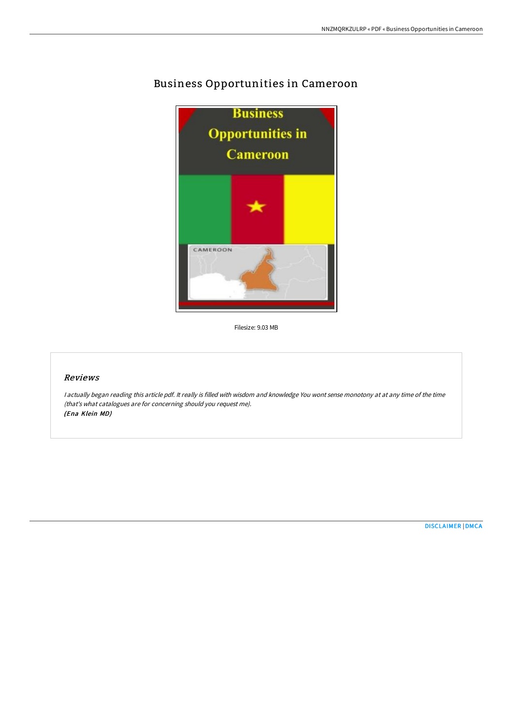

## Business Opportunities in Cameroon

Filesize: 9.03 MB

## Reviews

<sup>I</sup> actually began reading this article pdf. It really is filled with wisdom and knowledge You wont sense monotony at at any time of the time (that's what catalogues are for concerning should you request me). (Ena Klein MD)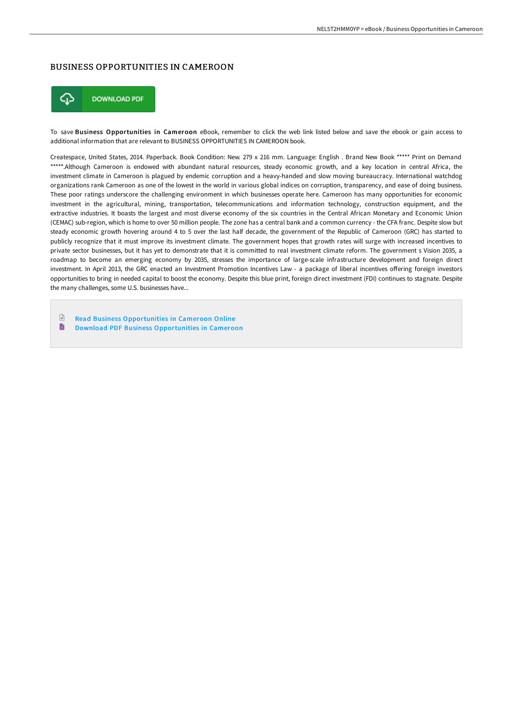## BUSINESS OPPORTUNITIES IN CAMEROON



To save Business Opportunities in Cameroon eBook, remember to click the web link listed below and save the ebook or gain access to additional information that are relevant to BUSINESS OPPORTUNITIES IN CAMEROON book.

Createspace, United States, 2014. Paperback. Book Condition: New. 279 x 216 mm. Language: English . Brand New Book \*\*\*\*\* Print on Demand \*\*\*\*\*.Although Cameroon is endowed with abundant natural resources, steady economic growth, and a key location in central Africa, the investment climate in Cameroon is plagued by endemic corruption and a heavy-handed and slow moving bureaucracy. International watchdog organizations rank Cameroon as one of the lowest in the world in various global indices on corruption, transparency, and ease of doing business. These poor ratings underscore the challenging environment in which businesses operate here. Cameroon has many opportunities for economic investment in the agricultural, mining, transportation, telecommunications and information technology, construction equipment, and the extractive industries. It boasts the largest and most diverse economy of the six countries in the Central African Monetary and Economic Union (CEMAC) sub-region, which is home to over 50 million people. The zone has a central bank and a common currency - the CFA franc. Despite slow but steady economic growth hovering around 4 to 5 over the last half decade, the government of the Republic of Cameroon (GRC) has started to publicly recognize that it must improve its investment climate. The government hopes that growth rates will surge with increased incentives to private sector businesses, but it has yet to demonstrate that it is committed to real investment climate reform. The government s Vision 2035, a roadmap to become an emerging economy by 2035, stresses the importance of large-scale infrastructure development and foreign direct investment. In April 2013, the GRC enacted an Investment Promotion Incentives Law - a package of liberal incentives offering foreign investors opportunities to bring in needed capital to boost the economy. Despite this blue print, foreign direct investment (FDI) continues to stagnate. Despite the many challenges, some U.S. businesses have...

 $\mathbb{R}$ Read Business [Opportunities](http://techno-pub.tech/business-opportunities-in-cameroon-paperback.html) in Cameroon Online

 $\blacksquare$ Download PDF Business [Opportunities](http://techno-pub.tech/business-opportunities-in-cameroon-paperback.html) in Cameroon